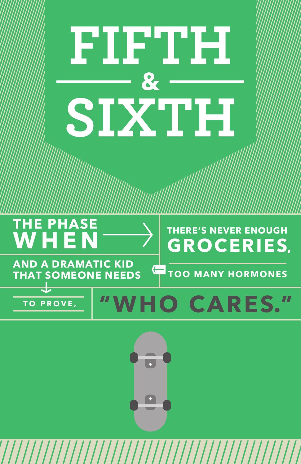# **FIFTH & SIXTH**

## **THE PHASE WHEN**

## **THERE'S NEVER ENOUGH GROCERIES,**

**AND A DRAMATIC KID THAT SOMEONE NEEDS**

**TOO MANY HORMONES**

## **TO PROVE, "WHO CARES. "**



⇐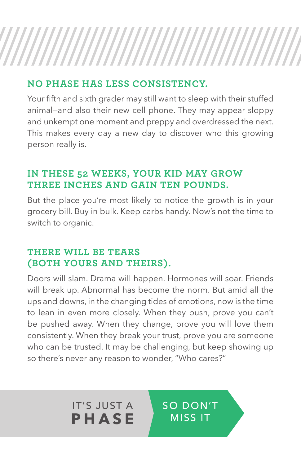### **NO PHASE HAS LESS CONSISTENCY.**

Your fifth and sixth grader may still want to sleep with their stuffed animal—and also their new cell phone. They may appear sloppy and unkempt one moment and preppy and overdressed the next. This makes every day a new day to discover who this growing person really is.

### **IN THESE 52 WEEKS, YOUR KID MAY GROW THREE INCHES AND GAIN TEN POUNDS.**

But the place you're most likely to notice the growth is in your grocery bill. Buy in bulk. Keep carbs handy. Now's not the time to switch to organic.

### **THERE WILL BE TEARS (BOTH YOURS AND THEIRS).**

IT'S JUST A **PHASE**

Doors will slam. Drama will happen. Hormones will soar. Friends will break up. Abnormal has become the norm. But amid all the ups and downs, in the changing tides of emotions, now is the time to lean in even more closely. When they push, prove you can't be pushed away. When they change, prove you will love them consistently. When they break your trust, prove you are someone who can be trusted. It may be challenging, but keep showing up so there's never any reason to wonder, "Who cares?"

> SO DON'T MISS IT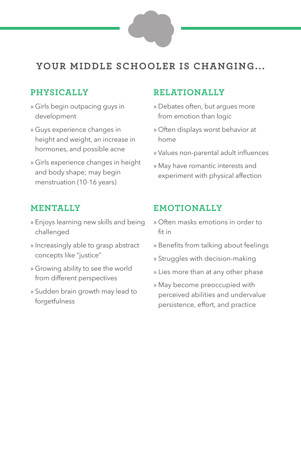### **YOUR MIDDLE SCHOOLER IS CHANGING...**

### **PHYSICALLY**

- » Girls begin outpacing guys in development
- » Guys experience changes in height and weight, an increase in hormones, and possible acne
- » Girls experience changes in height and body shape; may begin menstruation (10-16 years)

### **MENTALLY**

- » Enjoys learning new skills and being challenged
- » Increasingly able to grasp abstract concepts like "justice"
- » Growing ability to see the world from different perspectives
- » Sudden brain growth may lead to forgetfulness

### **RELATIONALLY**

- » Debates often, but argues more from emotion than logic
- » Often displays worst behavior at home
- » Values non-parental adult influences
- » May have romantic interests and experiment with physical affection

### **EMOTIONALLY**

- » Often masks emotions in order to fit in
- » Benefits from talking about feelings
- » Struggles with decision-making
- » Lies more than at any other phase
- » May become preoccupied with perceived abilities and undervalue persistence, effort, and practice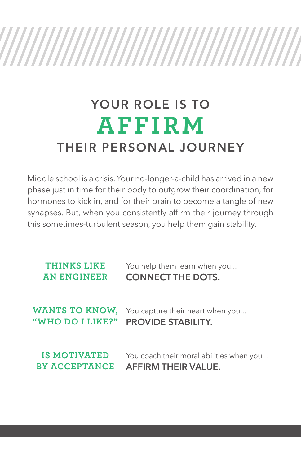# 

## **YOUR ROLE IS TO AFFIRM THEIR PERSONAL JOURNEY**

Middle school is a crisis. Your no-longer-a-child has arrived in a new phase just in time for their body to outgrow their coordination, for hormones to kick in, and for their brain to become a tangle of new synapses. But, when you consistently affirm their journey through this sometimes-turbulent season, you help them gain stability.

| THINKS LIKE           | You help them learn when you             |  |
|-----------------------|------------------------------------------|--|
| <b>AN ENGINEER</b>    | <b>CONNECT THE DOTS.</b>                 |  |
| <b>WANTS TO KNOW,</b> | You capture their heart when you         |  |
| "WHO DO I LIKE?"      | <b>PROVIDE STABILITY.</b>                |  |
| IS MOTIVATED          | You coach their moral abilities when you |  |
| <b>BY ACCEPTANCE</b>  | <b>AFFIRM THEIR VALUE.</b>               |  |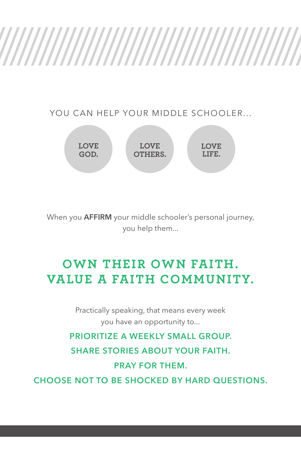YOU CAN HELP YOUR MIDDLE SCHOOLER...



When you **AFFIRM** your middle schooler's personal journey, you help them...

### **OWN THEIR OWN FAITH. VALUE A FAITH COMMUNITY.**

Practically speaking, that means every week you have an opportunity to...

**PRIORITIZE A WEEKLY SMALL GROUP. SHARE STORIES ABOUT YOUR FAITH. PRAY FOR THEM.**

**CHOOSE NOT TO BE SHOCKED BY HARD QUESTIONS.**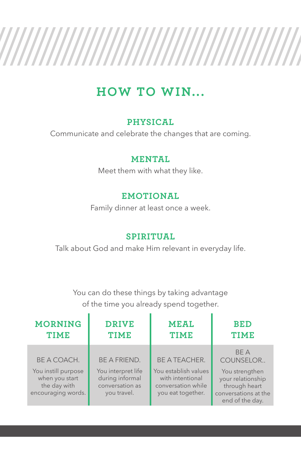### ////// ,,,,,,,,,,,,,,,,,, 77

### **HOW TO WIN...**

### **PHYSICAL**

Communicate and celebrate the changes that are coming.

### **MENTAL**

Meet them with what they like.

### **EMOTIONAL**

Family dinner at least once a week.

### **SPIRITUAL**

Talk about God and make Him relevant in everyday life.

You can do these things by taking advantage of the time you already spend together.

| <b>MORNING</b><br><b>TIME</b>                                               | <b>DRIVE</b><br><b>TIME</b>                                             | <b>MEAL</b><br><b>TIME</b>                                                          | <b>BED</b><br><b>TIME</b>                                                                       |
|-----------------------------------------------------------------------------|-------------------------------------------------------------------------|-------------------------------------------------------------------------------------|-------------------------------------------------------------------------------------------------|
| BE A COACH.                                                                 | <b>BE A FRIEND.</b>                                                     | <b>BE A TEACHER.</b>                                                                | <b>BFA</b><br>COUNSELOR                                                                         |
| You instill purpose<br>when you start<br>the day with<br>encouraging words. | You interpret life<br>during informal<br>conversation as<br>you travel. | You establish values<br>with intentional<br>conversation while<br>you eat together. | You strengthen<br>your relationship<br>through heart<br>conversations at the<br>end of the day. |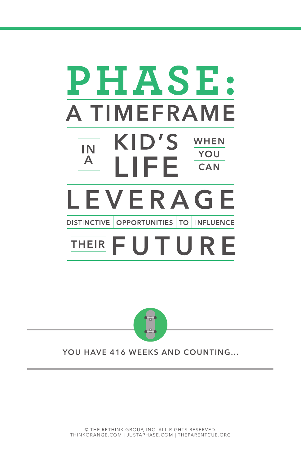### **PHASE: ATIMEFRAME** KID'S WHEN IN YOU A LIFE. **CAN** LEVERAGE **TO DISTINCTIVE | OPPORTUNITIES | INFLUENCE UT**



**YOU HAVE 416 WEEKS AND COUNTING...**

© THE RETHINK GROUP, INC. ALL RIGHTS RESERVED. THINKORANGE.COM | JUSTAPHASE.COM | THEPARENTCUE.ORG